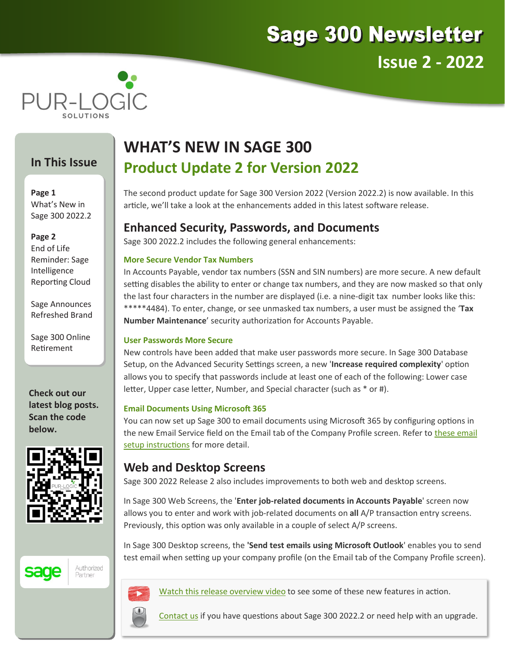



### **In This Issue**

**Page 1** What's New in Sage 300 2022.2

**Page 2**

End of Life Reminder: Sage Intelligence Reporting Cloud

Sage Announces Refreshed Brand

Sage 300 Online Retirement

**Check out our latest blog posts. Scan the code below.**





Authorized Partner



[Watch this release overview video](https://youtu.be/3cpDqIPLsbw) to see some of these new features in action.

[Contact us](mailto:sales@pur-logicsolutions.com?subject=Newsletter%20Inquiry:%20Sage%20300%202022.2) if you have questions about Sage 300 2022.2 or need help with an upgrade.

# **WHAT'S NEW IN SAGE 300 Product Update 2 for Version 2022**

The second product update for Sage 300 Version 2022 (Version 2022.2) is now available. In this article, we'll take a look at the enhancements added in this latest software release.

## **Enhanced Security, Passwords, and Documents**

Sage 300 2022.2 includes the following general enhancements:

#### **More Secure Vendor Tax Numbers**

In Accounts Payable, vendor tax numbers (SSN and SIN numbers) are more secure. A new default setting disables the ability to enter or change tax numbers, and they are now masked so that only the last four characters in the number are displayed (i.e. a nine-digit tax number looks like this: \*\*\*\*\*4484). To enter, change, or see unmasked tax numbers, a user must be assigned the '**Tax Number Maintenance**' security authorization for Accounts Payable.

#### **User Passwords More Secure**

New controls have been added that make user passwords more secure. In Sage 300 Database Setup, on the Advanced Security Settings screen, a new '**Increase required complexity**' option allows you to specify that passwords include at least one of each of the following: Lower case letter, Upper case letter, Number, and Special character (such as \* or #).

### **Email Documents Using Microsoft 365**

You can now set up Sage 300 to email documents using Microsoft 365 by configuring options in the new Email Service field on the Email tab of the Company Profile screen. Refer to these email [setup instructions](http://help.sage300.com/en-us/2022/classic/Content/SystemManager/CommonServices/SettingUpEmail.htm) for more detail.

## **Web and Desktop Screens**

Sage 300 2022 Release 2 also includes improvements to both web and desktop screens.

In Sage 300 Web Screens, the '**Enter job-related documents in Accounts Payable**' screen now allows you to enter and work with job-related documents on **all** A/P transaction entry screens. Previously, this option was only available in a couple of select A/P screens.

In Sage 300 Desktop screens, the **'Send test emails using Microsoft Outlook**' enables you to send test email when setting up your company profile (on the Email tab of the Company Profile screen).